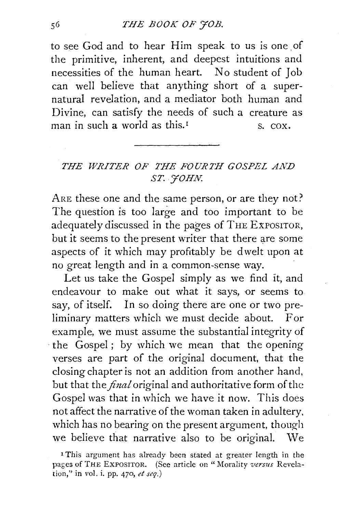to see God and to hear Him speak to us is one of the primitive, inherent, and deepest intuitions and necessities of the human heart. No student of Job can well believe that anything short of a supernatural revelation, and a mediator both human and Divine, can satisfy the needs of such a creature as man in such a world as this.<sup>1</sup> s. cox.

## *THE WRITER OF THE FOURTH GOSPEL Ai'i.D ST. J'OHN.*

ARE these one and the same person, or are they not? The question is too large and too important to be adequately discussed in the pages of THE EXPOSITOR, but it seems to the present writer that there are some aspects of it which may profitably be dwelt upon at no great length and in a common-sense way.

Let us take the Gospel simply as we find it, and endeavour to make out what it says, or seems to say, of itself. In so doing there are one or two preliminary matters which we must decide about. For example, we must assume the substantial integrity of the Gospel; by which we mean that the opening verses are part of the original document, that the closing chapter is not an addition from another hand, but that the *final* original and authoritative form of the Gospel was that in which we have it now. This does not affect the narrative of the woman taken in adultery, which has no bearing on the present argument, though we believe that narrative also to be original. We

<sup>1</sup> This argument has already been stated at greater length in the pages of THE EXPOSITOR. (See article on "Morality *versus* Revelation," in vol. i. pp. 470, *et seq.)*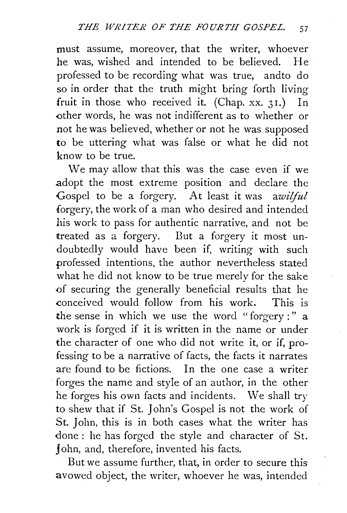must assume, moreover, that the writer, whoever he was, wished and intended to be believed. He professed to be recording what was true, andto do so in order that the truth might bring forth living fruit in those who received it. (Chap. xx. 31.) In other words, he was not indifferent as to whether or not he was believed, whether or not he was supposed to be uttering what was false or what he did not know to be true.

We may allow that this was the case even if we adopt the most extreme position and declare the Gospel to be a forgery. At least it was *awiiful*  forgery, the work of a man who desired and intended his work to pass for authentic narrative, and not be treated as a forgery. But a forgery it most undoubtedly would have been if, writing with such professed intentions, the author nevertheless stated what he did not know to be true merely for the sake <>f securing the generally beneficial results that he conceived would follow from his work. This is the sense in which we use the word "forgery :"  $a$ work is forged if it is written in the name or under the character of one who did not write it, or if, professing to be a narrative of facts, the facts it narrates are found to be fictions. In the one case a writer forges the name and style of an author, in the other he forges his own facts and incidents. We shall try to shew that if St. John's Gospel is not the work of St. John, this is in both cases what the writer has done: he has forged the style and character of St. John, and, therefore, invented his facts.

But we assume further, that, in order to secure this avowed object, the writer, whoever he was, intended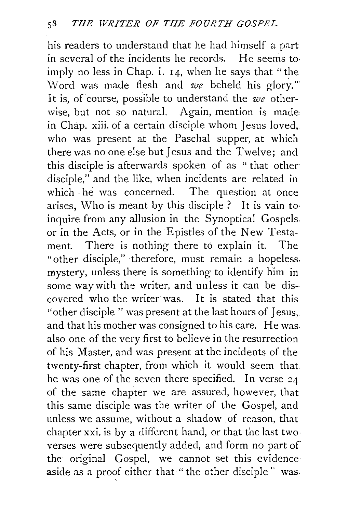his readers to understand that he had himself a part in several of the incidents he records. He seems to· imply no less in Chap. i.  $14$ , when he says that "the Word was made flesh and *we* beheld his glory."' It is, of course, possible to understand the *we* otherwise, but not so natural. Again, mention is made in Chap. xiii. of a certain disciple whom Jesus loved,. who was present at the Paschal supper, at which there was no one else but Jesus and the Twelve; and this disciple is afterwards spoken of as " that other disciple," and the like, when incidents are related in which he was concerned. The question at once arises, Who is meant by this disciple ? It is vain to· inquire from any allusion in the Synoptical Gospels. or in the Acts, or in the Epistles of the New Testament. There is nothing there to explain it. The "other disciple," therefore, must remain a hopeless. mystery, unless there is something to identify him in some way with the writer, and unless it can be discovered who the writer was. It is stated that this "other disciple " was present at the last hours of Jesus. and that his mother was consigned to his care. He was. also one of the very first to believe in the resurrection of his Master, and was present at the incidents of the twenty-first chapter, from which it would seem that he was one of the seven there specified. In verse 24 of the same chapter we are assured, however, that this same disciple was the writer of the Gospel, and unless we assume, without a shadow of reason, that chapter xxi. is by a different hand, or that the last two verses were subsequently added, and form no part of the original Gospel, we cannot set this evidence aside as a proof either that "the other disciple'' was.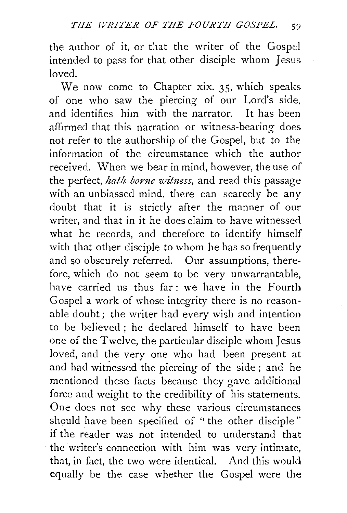the author of it, or that the writer of the Gospel intended to pass for that other disciple whom Jesus loved.

We now come to Chapter xix.  $35$ , which speaks of one who saw the piercing of our Lord's side, and identifies him with the narrator. It has been affirmed that this narration or witness-bearing does not refer to the authorship of the Gospel, but to the information of the circumstance which the author received. When we bear in mind, however, the use of the perfect, *hath borne witness*, and read this passage with an unbiassed mind, there can scarcely be any doubt that it is strictly after the manner of our writer, and that in it he does claim to have witnessed what he records, and therefore to identify himself with that other disciple to whom he has so frequently and so obscurely referred. Our assumptions, therefore, which do not seem to be very unwarrantable, have carried us thus far: we have in the Fourth Gospel a work of whose integrity there is no reasonable doubt; the writer had every wish and intention to be believed ; he declared himself to have been one of the Twelve, the particular disciple whom Jesus loved, and the very one who had been present at and had witnessed the piercing of the side ; and he mentioned these facts because they gave additional force and weight to the credibility of his statements. One does not see why these various circumstances should have been specified of "the other disciple" if the reader was not intended to understand that the writer's connection with him was very intimate, that, in fact, the two were identical. And this would equally be the case whether the Gospel were the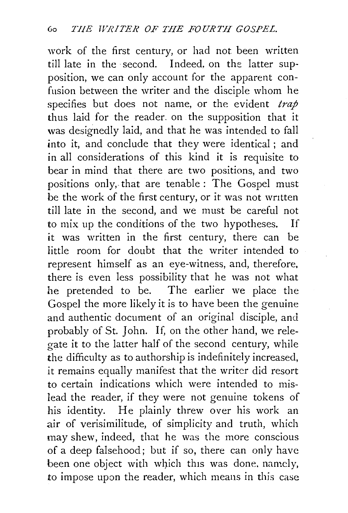work of the first century, or had not been written till late in the second. Indeed. on the latter supposition, we can only account for the apparent confusion between the writer and the disciple whom he specifies but does not name, or the evident *trap* thus laid for the reader. on the supposition that it was designedly laid, and that he was intended to fall into it, and conclude that they were identical ; and in all considerations of this kind it is requisite to bear in mind that there are two positions, and two positions only, that are tenable : The Gospel must be the work of the first century, or it was not written till late in the second, and we must be careful not to mix up the conditions of the two hypotheses. If it was written in the first century, there can be little room for doubt that the writer intended to represent himself as an eye-witness, and, therefore, there is even less possibility that he was not what he pretended to be. The earlier we place the Gospel the more likely it is to have been the genuine and authentic document of an original disciple, and probably of St. John. If, on the other hand, we relegate it to the latter half of the second century, while the difficulty as to authorship is indefinitely increased, it remains equally manifest that the writer did resort to certain indications which were intended to mislead the reader, if they were not genuine tokens of his identity. He plainly threw over his work an air of verisimilitude, of simplicity and truth, which may shew, indeed, that he was the more conscious of a deep falsehood; but if so, there can only have been one object with which this was done, namely, *to* impose upon the reader, which means in this case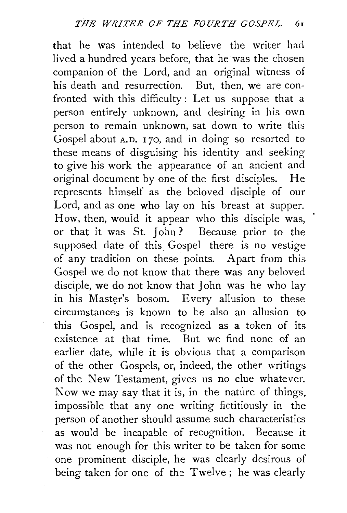that he was intended to believe the writer had lived a hundred years before, that he was the chosen companion of the Lord, and an original witness of his death and resurrection. But, then, we are confronted with this difficulty : Let us suppose that a person entirely unknown, and desiring in his own person to remain unknown, sat down to write this Gospel about A.D. 170, and in doing so resorted to these means of disguising his identity and seeking to give his work the appearance of an ancient and original document by one of the first disciples. He represents himself as the beloved disciple of our Lord, and as one who lay on his breast at supper. How, then, wouid it appear who this disciple was, or that it was St. John? Because prior to the supposed date of this Gospel there is no vestige of any tradition on these points. Apart from this. Gospel we do not know that there was any beloved disciple, we do not know that John was he who lay in his Master's bosom. Every allusion to these  $circumstances$  is known to be also an allusion to this Gospel, and is recognized as a token of its. existence at that time. But we find none of an earlier date, while it is obvious that a comparison of the other Gospels, or, indeed, the other writings of the New Testament, gives us no clue whatever. Now we may say that it is, in the nature of things, impossible that any one writing fictitiously in the person of another should assume such characteristics as would be incapable of recognition. Because it was not enough for this writer to be taken for some one prominent disciple, he was clearly desirous of being taken for one of the Twelve ; he was clearly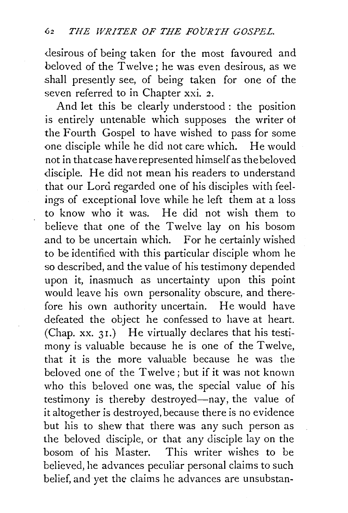desirous of being taken for the most favoured and beloved of the Twelve ; he was even desirous, as we shall presently see, of being taken for one of the seven referred to in Chapter xxi. 2.

And let this be clearly understood: the position is entirely untenable which supposes the writer ot the Fourth Gospel to have wished to pass for some one disciple while he did not care which. He would not in that case have represented himself as the beloved disciple. He did not mean his readers to understand that our Lord regarded one of his disciples with feelings of exceptional love while he left them at a loss to know who it was. He did not wish them to believe that one of the Twelve lay on his bosom and to be uncertain which. For he certainly wished to be identified with this particular disciple whom he so described, and the value of his testimony depended upon it, inasmuch as uncertainty upon this point would leave his own personality obscure, and therefore his own authority uncertain. He would have defeated the object he confessed to have at heart. (Chap. xx. 31.) He virtually declares that his testimony is valuable because he is one of the Twelve, that it is the more valuable because he was the beloved one of the Twelve; but if it was not known who this beloved one was, the special value of his testimony is thereby destroyed-nay, the value of it altogether is destroyed, because there is no evidence but his to shew that there was any such person as the beloved disciple, or that any disciple lay on the bosom of his Master. This writer wishes to be believed, he advances peculiar personal claims to such belief, and yet the claims he advances are unsubstan-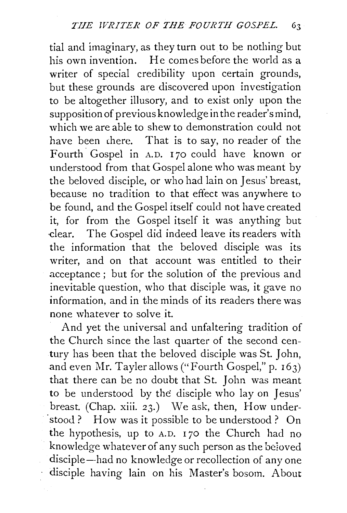tial and imaginary, as they turn out to be nothing but his own invention. He comes before the world as a writer of special credibility upon certain grounds, but these grounds are discovered upon investigation to be altogether illusory, and to exist only upon the supposition of previous knowledge in the reader's mind, which we are able to shew to demonstration could not have been there. That is to say, no reader of the Fourth<sup>C</sup>ospel in A.D. 170 could have known or understood from that Gospel alone who was meant by the beloved disciple, or who had lain on Jesus' breast, because no tradition to that effect was anywhere to be found, and the Gospel itself could not have created it, for from the Gospel itself it was anything but -clear. The Gospel did indeed leave its readers with the information that the beloved disciple was its writer, and on that account was entitled to their acceptance ; but for the solution of the previous and inevitable question, who that disciple was, it gave no information, and in the minds of its readers there was none whatever to solve it.

And yet the universal and unfaltering tradition of the Church since the last quarter of the second century has been that the beloved disciple was St. John, and even Mr. Tayler allows ("Fourth Gospel," p.  $163$ ) that there can be no doubt that St. John was meant to be understood by the disciple who lay on Jesus' breast. (Chap. xiii. 23.) We ask, then, How under- 'stood.? How was it possible to be understood? On the hypothesis, up to A.D. 170 the Church had no knowledge whatever of any such person as the beloved disciple-had no knowledge or recollection of any one disciple having lain on his Master's bosom. About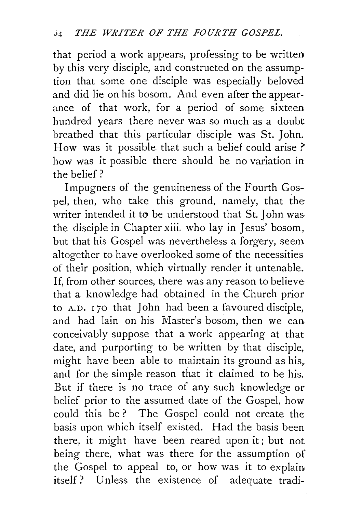that period a work appears, professing to be written by this very disciple, and constructed on the assumption that some one disciple was especially beloved and did lie on his bosom. And even after the appearance of that work, for a period of some sixteen hundred years there never was so much as a doubt breathed that this particular disciple was St. John. How was it possible that such a belief could arise ? how was it possible there should be no variation in the belief?

Impugners of the genuineness of the Fourth Gospel, then, who take this ground, namely, that the writer intended it to be understood that St. John was the disciple in Chapter xiii. who lay in Jesus' bosom, but that his Gospel was nevertheless a forgery, seem altogether to have overlooked some of the necessities of their position, which virtually render it untenable. If, from other sources, there was any reason to believe that a knowledge had obtained in the Church prior to A.D. 170 that John had been a favoured disciple, and had lain on his Master's bosom, then we can conceivably suppose that a work appearing at that date, and purporting to be written by that disciple, might have been able to maintain its ground as his, and for the simple reason that it claimed to be his. But if there is no trace of any such knowledge or belief prior to the assumed date of the Gospel, how could this be ? The Gospel could not create the. basis upon which itself existed. Had the basis been there, it might have been reared upon it; but not being there, what was there for the assumption of the Gospel to appeal to, or how was it to explain itself? Unless the existence of adequate tradi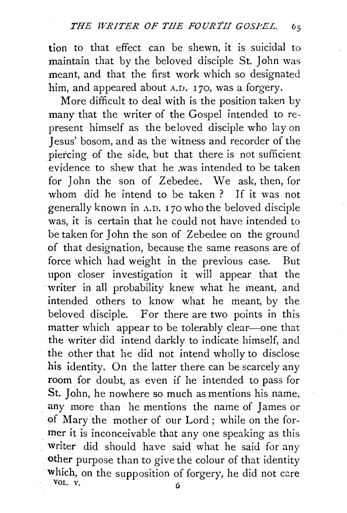tion to that effect can be shewn, it is suicidal to maintain that by the beloved disciple St. John was meant, and that the first work which so designated him, and appeared about A.D. 170, was a forgery.

More difficult to deal with is the position taken by many that the writer of the Gospel intended to represent· himself as the beloved disciple who lay on Jesus' bosom, and as the witness and recorder of the piercing of the side, but that there is not sufficient evidence to shew that he .was intended to be taken for John the son of Zebedee. \Ve ask, then, for whom did he intend to be taken ? If it was not generally known in A. D. 1 70 who the beloved disciple was, it is certain that he could not have intended to be taken for John the son of Zebedee on the ground of that designation, because the same reasons are of force which had weight in the previous case. But upon closer investigation it will appear that the writer in all probability knew what he meant, and intended others to know what he meant, by the beloved disciple. For there are two points in this matter which appear to be tolerably clear-one that the writer did intend darkly to indicate himself, and the other that he did not intend wholly to disclose his identity. On the latter there can be scarcely any room for doubt, as even if he intended to pass for St. John, he nowhere so much as mentions his name, any more than he mentions the name of James or of Mary the mother of our Lord; while on the for mer it is inconceivable that any one speaking as this writer did should have said what he said for any other purpose than to give the colour of that identity which, on the supposition of forgery, he did not care VOL.  $V.$  6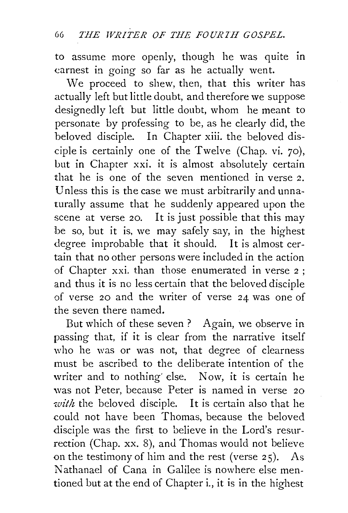to assume more openly, though he was quite in earnest in going so far as he actually went.

We proceed to shew, then, that this writer has actually left but little doubt, and therefore we suppose designedly left but little doubt, whom he meant to personate by professing to be, as he clearly did, the beloved disciple. In Chapter xiii. the beloved disciple is certainly one of the Twelve (Chap. vi. 70), but in Chapter xxi. it is almost absolutely certain that he is one of the seven mentioned in verse 2. Unless this is the case we must arbitrarily and unnaturally assume that he suddenly appeared upon the scene at verse 20. It is just possible that this may be so, but it is, we may safely say, in the highest degree improbable that it should. It is almost certain that no other persons were included in the action of Chapter xxi. than those enumerated in verse 2 ; and thus it is no less certain that the beloved disciple of verse 20 and the writer of verse 24 was one of the seven there named.

But which of these seven ? Again, we observe in passing that, if it is clear from the narrative itself who he was or was not, that degree of clearness must be ascribed to the deliberate intention of the writer and to nothing' else. Now, it is certain he was not Peter, because Peter is named in verse 20 *with* the beloved disciple. It is certain also that he could not have been Thomas, because the beloved disciple was the first to believe in the Lord's resurrection (Chap. xx. 8), and Thomas would not believe on the testimony of him and the rest (verse 25). As Nathanael of Cana in Galilee is nowhere else mentioned but at the end of Chapter i., it is in the highest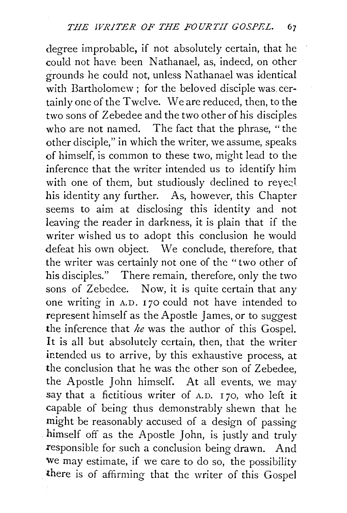degree improbable, if not absolutely certain, that he could not have been Nathanael, as, indeed, on other  $\sigma$ rounds he could not, unless Nathanael was identical with Bartholomew : for the beloved disciple was certainly one of the Twelve. We are reduced, then, to the two sons of Zebedee and the two other of his disciples who are not named. The fact that the phrase, "the other disciple," in which the writer, we assume, speaks of himself, is common to these two, might lead to the inference that the writer intended us to identify him with one of them, but studiously declined to reye? his identity any further. As, however, this Chapter seems to aim at disclosing this identity and not leaving the reader in darkness, it is plain that if the writer wished us to adopt this conclusion he would defeat his own object. We conclude, therefore, that the writer was certainly not one of the "two other of his disciples." There remain, therefore, only the two sons of Zebedee. Now, it is quite certain that any one writing in A.D. 170 could not have intended to represent himself as the Apostle James, or to suggest the inference that *he* was the author of this Gospel. It is all but absolutely certain, then, that the writer intended us to arrive, by this exhaustive process, at the conclusion that he was the other son of Zebedee, the Apostle John himself. At all events, we may say that a fictitious writer of  $A.D. I 70$ , who left it capable of being thus demonstrably shewn that he might be reasonably accused of a design of passing himself off as the Apostle John, is justly and truly responsible for such a conclusion being drawn. And we may estimate, if we care to do so, the possibility there is of affirming that the writer of this Gospel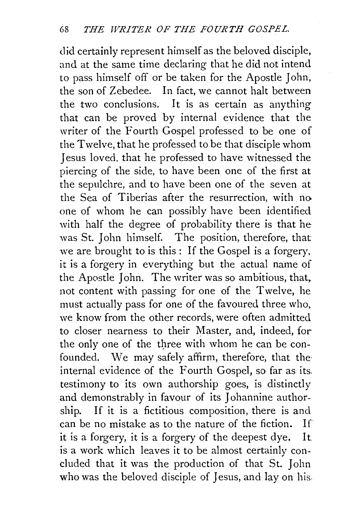did certainly represent himself as the beloved disciple, and at the same time declaring that he did not intend to pass himself off or be taken for the Apostle John, the son of Zebedee. In fact, we cannot halt between the two conclusions. It is as certain as anything that can be proved by internal evidence that the writer of the Fourth Gospel professed to be one of the Twelve, that he professed to be that disciple whom Jesus loved, that he professed to have witnessed the piercing of the side, to have been one of the first at the sepulchre, and to have been one of the seven at the Sea of Tiberias after the resurrection, with no one of whom he can possibly have been identified with half the degree of probability there is that he was St. John himself. The position, therefore, that we are brought to is this : If the Gospel is a forgery, it is a forgery in everything but the actual name of the Apostle John. The writer was so ambitious, that, not content with passing for one of the Twelve, he must actually pass for one of the favoured three who, we know from the other records, were often admitted to closer nearness to their Master, and, indeed, for the only one of the three with whom he can be confounded. We may safely affirm, therefore, that the internal evidence of the Fourth Gospel, so far as its. testimony to its own authorship goes, is distinctly and demonstrably in favour of its Johannine authorship. If it is a fictitious composition, there is and can be no mistake as to the nature of the fiction. If it is a forgery, it is a forgery of the deepest dye. It is a work which leaves it to be almost certainly concluded that it was the production of that St. John who was the beloved disciple of Jesus, and lay on his.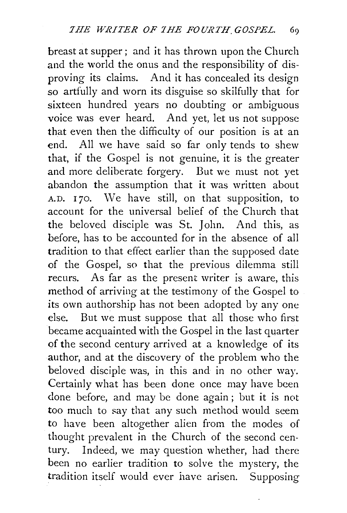breast at supper; and it has thrown upon the Church and the world the onus and the responsibility of disproving its claims. And it has concealed its design so artfully and worn its disguise so skilfully that for sixteen hundred years no doubting or ambiguous voice was ever heard. And yet, let us not suppose that even then the difficulty of our position is at an end. All we have said so far only tends to shew that, if the Gospel is not genuine, it is the greater and more deliberate forgery. But we must not yet abandon the assumption that it was written about  $A.D. I 70. We have still, on that supposition, to$ account for the universal belief of the Church that the beloved disciple was St. John. And this, as before, has to be accounted for in the absence of all tradition to that effect earlier than the supposed date of the Gospel, so that the previous dilemma still recurs. As far as the present writer is aware, this method of arriving at the testimony of the Gospel to its own authorship has not been adopted by any one else. But we must suppose that all those who first became acquainted with the Gospel in the last quarter of the second century arrived at a knowledge of its author, and at the discovery of the problem who the beloved disciple was, in this and in no other way. Certainly what has been done once may have been done before, and may be done again ; but it is not too much to say that any such method would seem to have been altogether alien from the modes of thought prevalent in the Church of the second century. Indeed, we may question whether, had there been no earlier tradition to solve the mystery, the tradition itself would ever have arisen. Supposing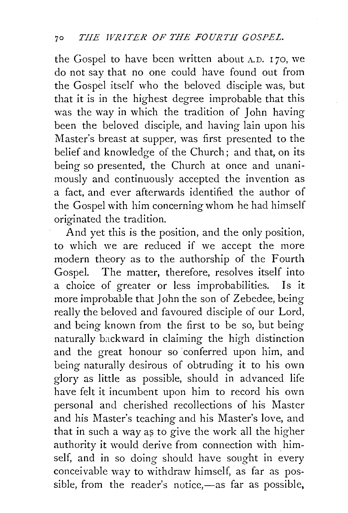the Gospel to have been written about  $A.D. I 70$ , we do not say that no one could have found out from the Gospel itself who the beloved disciple was, but that it is in the highest degree improbable that this was the way in which the tradition of John having been the beloved disciple, and having lain upon his Master's breast at supper, was first presented to the belief and knowledge of the Church; and that, on its being so presented, the Church at once and unanimously and continuously accepted the invention as a fact, and ever afterwards identified the author of the Gospel with him concerning whom he had himself originated the tradition.

And yet this is the position, and the only position, to which we are reduced if we accept the more modern theory as to the authorship of the Fourth Gospel. The matter, therefore, resolves itself into a choice of greater or less improbabilities. Is it more improbable that John the son of Zebedee, being really the beloved and favoured disciple of our Lord, and being known from the first to be so, but being naturally backward in claiming the high distinction and the great honour so conferred upon him, and being naturally desirous of obtruding it to his own glory as little as possible, should in advanced life have felt it incumbent upon him to record his own personal and cherished recollections of his Master and his Master's teaching and his Master's love, and that in such a way as to give the work all the higher authority it would derive from connection with himself, and in so doing should have sought in every conceivable way to withdraw himself, as far as possible, from the reader's notice,-as far as possible,